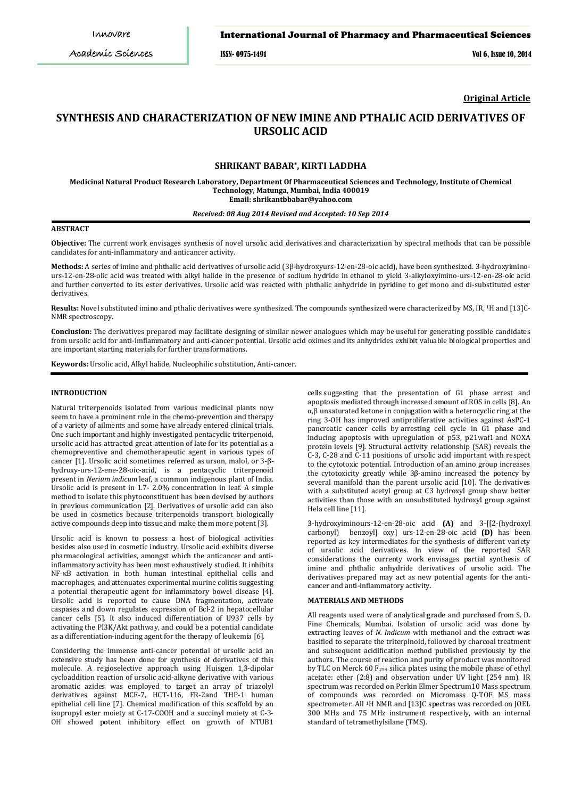# International Journal of Pharmacy and Pharmaceutical Sciences

ISSN- 0975-1491 Vol 6, Issue 10, 2014

**Original Article**

# **SYNTHESIS AND CHARACTERIZATION OF NEW IMINE AND PTHALIC ACID DERIVATIVES OF URSOLIC ACID**

# **SHRIKANT BABAR\* , KIRTI LADDHA**

**Medicinal Natural Product Research Laboratory, Department Of Pharmaceutical Sciences and Technology, Institute of Chemical Technology, Matunga, Mumbai, India 400019 Email: shrikantbbabar@yahoo.com**

#### *Received: 08 Aug 2014 Revised and Accepted: 10 Sep 2014*

# **ABSTRACT**

**Objective:** The current work envisages synthesis of novel ursolic acid derivatives and characterization by spectral methods that can be possible candidates for anti-inflammatory and anticancer activity.

**Methods:** A series of imine and phthalic acid derivatives of ursolic acid (3β-hydroxyurs-12-en-28-oic acid), have been synthesized. 3-hydroxyiminours-12-en-28-olic acid was treated with alkyl halide in the presence of sodium hydride in ethanol to yield 3-alkyloxyimino-urs-12-en-28-oic acid and further converted to its ester derivatives. Ursolic acid was reacted with phthalic anhydride in pyridine to get mono and di-substituted ester derivatives.

**Results:** Novel substituted imino and pthalic derivatives were synthesized. The compounds synthesized were characterized by MS, IR, <sup>1</sup>H and [13]C-NMR spectroscopy.

**Conclusion:** The derivatives prepared may facilitate designing of similar newer analogues which may be useful for generating possible candidates from ursolic acid for anti-imflammatory and anti-cancer potential. Ursolic acid oximes and its anhydrides exhibit valuable biological properties and are important starting materials for further transformations.

**Keywords:** Ursolic acid, Alkyl halide, Nucleophilic substitution, Anti-cancer.

# **INTRODUCTION**

Natural triterpenoids isolated from various medicinal plants now seem to have a prominent role in the chemo-prevention and therapy of a variety of ailments and some have already entered clinical trials. One such important and highly investigated pentacyclic triterpenoid, ursolic acid has attracted great attention of late for its potential as a chemopreventive and chemotherapeutic agent in various types of cancer [1]. Ursolic acid sometimes referred as urson, malol, or 3-βhydroxy-urs-12-ene-28-oic-acid, is a pentacyclic triterpenoid present in *Nerium indicum* leaf, a common indigenous plant of India. Ursolic acid is present in 1.7- 2.0% concentration in leaf. A simple method to isolate this phytoconstituent has been devised by authors in previous communication [2]. Derivatives of ursolic acid can also be used in cosmetics because triterpenoids transport biologically active compounds deep into tissue and make them more potent [3].

Ursolic acid is known to possess a host of biological activities besides also used in cosmetic industry. Ursolic acid exhibits diverse pharmacological activities, amongst which the anticancer and antiinflammatory activity has been most exhaustively studied. It inhibits NF-κB activation in both human intestinal epithelial cells and macrophages, and attenuates experimental murine colitis suggesting a potential therapeutic agent for inflammatory bowel disease [4]. Ursolic acid is reported to cause DNA fragmentation, activate caspases and down regulates expression of Bcl-2 in hepatocellular cancer cells [5]. It also induced differentiation of U937 cells by activating the PI3K/Akt pathway, and could be a potential candidate as a differentiation-inducing agent for the therapy of leukemia [6].

Considering the immense anti-cancer potential of ursolic acid an extensive study has been done for synthesis of derivatives of this molecule. A regioselective approach using Huisgen 1,3-dipolar cycloaddition reaction of ursolic acid-alkyne derivative with various aromatic azides was employed to target an array of triazolyl derivatives against MCF-7, HCT-116, FR-2and THP-1 human epithelial cell line [7]. Chemical modification of this scaffold by an isopropyl ester moiety at C-17-COOH and a succinyl moiety at C-3- OH showed potent inhibitory effect on growth of NTUB1

cells suggesting that the presentation of G1 phase arrest and apoptosis mediated through increased amount of ROS in cells [8]. An α,β unsaturated ketone in conjugation with a heterocyclic ring at the ring 3-OH has improved antiproliferative activities against AsPC-1 pancreatic cancer cells by arresting cell cycle in G1 phase and inducing apoptosis with upregulation of p53, p21waf1 and NOXA protein levels [9]. Structural activity relationship (SAR) reveals the C-3, C-28 and C-11 positions of ursolic acid important with respect to the cytotoxic potential. Introduction of an amino group increases the cytotoxicity greatly while 3β-amino increased the potency by several manifold than the parent ursolic acid [10]. The derivatives with a substituted acetyl group at C3 hydroxyl group show better activities than those with an unsubstituted hydroxyl group against Hela cell line [11].

3-hydroxyiminours-12-en-28-oic acid **(A)** and 3-[[2-(hydroxyl carbonyl) benzoyl] oxy] urs-12-en-28-oic acid **(D)** has been reported as key intermediates for the synthesis of different variety of ursolic acid derivatives. In view of the reported SAR considerations the currenty work envisages partial synthesis of imine and phthalic anhydride derivatives of ursolic acid. The derivatives prepared may act as new potential agents for the anticancer and anti-inflammatory activity.

#### **MATERIALS AND METHODS**

All reagents used were of analytical grade and purchased from S. D. Fine Chemicals, Mumbai. Isolation of ursolic acid was done by extracting leaves of *N. Indicum* with methanol and the extract was basified to separate the triterpinoid, followed by charcoal treatment and subsequent acidification method published previously by the authors. The course of reaction and purity of product was monitored by TLC on Merck 60 F254 silica plates using the mobile phase of ethyl acetate: ether (2:8) and observation under UV light (254 nm). IR spectrum was recorded on Perkin Elmer Spectrum10 Mass spectrum of compounds was recorded on Micromass Q-TOF MS mass spectrometer. All 1H NMR and [13]C spectras was recorded on JOEL 300 MHz and 75 MHz instrument respectively, with an internal standard of tetramethylsilane (TMS).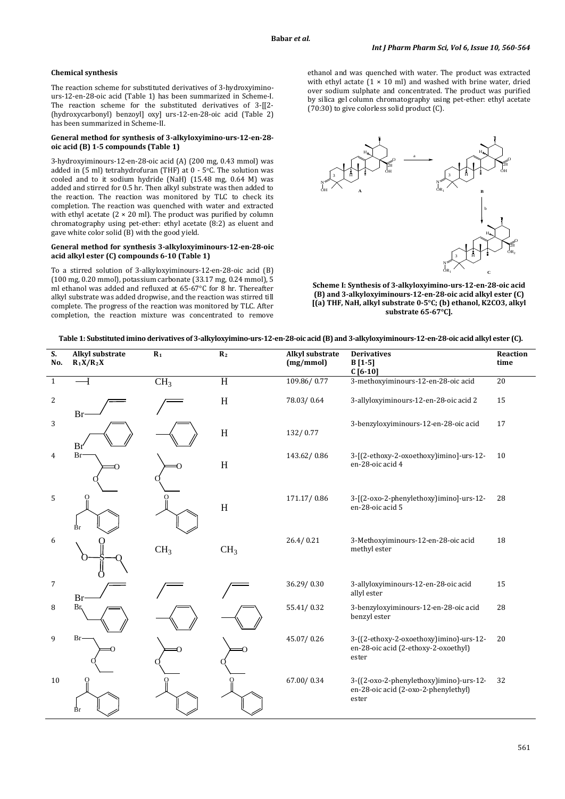# **Chemical synthesis**

The reaction scheme for substituted derivatives of 3-hydroxyiminours-12-en-28-oic acid (Table 1) has been summarized in Scheme-I. The reaction scheme for the substituted derivatives of 3-[[2- (hydroxycarbonyl) benzoyl] oxy] urs-12-en-28-oic acid (Table 2) has been summarized in Scheme-II.

#### **General method for synthesis of 3-alkyloxyimino-urs-12-en-28 oic acid (B) 1-5 compounds (Table 1)**

3-hydroxyiminours-12-en-28-oic acid (A) (200 mg, 0.43 mmol) was added in (5 ml) tetrahydrofuran (THF) at 0 - 5o C. The solution was cooled and to it sodium hydride (NaH) (15.48 mg, 0.64 M) was added and stirred for 0.5 hr. Then alkyl substrate was then added to the reaction. The reaction was monitored by TLC to check its completion. The reaction was quenched with water and extracted with ethyl acetate  $(2 \times 20 \text{ ml})$ . The product was purified by column chromatography using pet-ether: ethyl acetate (8:2) as eluent and gave white color solid (B) with the good yield.

#### **General method for synthesis 3-alkyloxyiminours-12-en-28-oic acid alkyl ester (C) compounds 6-10 (Table 1)**

To a stirred solution of 3-alkyloxyiminours-12-en-28-oic acid (B) (100 mg, 0.20 mmol), potassium carbonate (33.17 mg, 0.24 mmol), 5 ml ethanol was added and refluxed at 65-67°C for 8 hr. Thereafter alkyl substrate was added dropwise, and the reaction was stirred till complete. The progress of the reaction was monitored by TLC. After completion, the reaction mixture was concentrated to remove

ethanol and was quenched with water. The product was extracted with ethyl actate  $(1 \times 10 \text{ ml})$  and washed with brine water, dried over sodium sulphate and concentrated. The product was purified by silica gel column chromatography using pet-ether: ethyl acetate (70:30) to give colorless solid product (C).



**Scheme I: Synthesis of 3-alkyloxyimino-urs-12-en-28-oic acid (B) and 3-alkyloxyiminours-12-en-28-oic acid alkyl ester (C) [(a) THF, NaH, alkyl substrate 0-5°C; (b) ethanol, K2CO3, alkyl substrate 65-67°C].**

| Table 1: Substituted imino derivatives of 3-alkyloxyimino-urs-12-en-28-oic acid (B) and 3-alkyloxyiminours-12-en-28-oic acid alkyl ester (C). |  |  |
|-----------------------------------------------------------------------------------------------------------------------------------------------|--|--|
|                                                                                                                                               |  |  |

| S.<br>No.      | Alkyl substrate<br>$R_1X/R_2X$ | $R_1$           | R <sub>2</sub>            | Alkyl substrate<br>(mg/mmol) | <b>Derivatives</b><br>$B[1-5]$<br>$C[6-10]$                                              | Reaction<br>time |
|----------------|--------------------------------|-----------------|---------------------------|------------------------------|------------------------------------------------------------------------------------------|------------------|
| 1              |                                | CH <sub>3</sub> | H                         | 109.86/0.77                  | 3-methoxyiminours-12-en-28-oic acid                                                      | 20               |
| $\overline{2}$ | Br                             |                 | H                         | 78.03/0.64                   | 3-allyloxyiminours-12-en-28-oic acid 2                                                   | 15               |
| 3              | Br'                            |                 | H                         | 132/0.77                     | 3-benzyloxyiminours-12-en-28-oic acid                                                    | 17               |
| 4              | <b>Br</b>                      |                 | $\boldsymbol{\mathrm{H}}$ | 143.62/0.86                  | 3-[(2-ethoxy-2-oxoethoxy)imino]-urs-12-<br>en-28-oic acid 4                              | 10               |
| 5              | Ω<br>Вr                        |                 | H                         | 171.17/0.86                  | 3-[(2-oxo-2-phenylethoxy)imino]-urs-12-<br>en-28-oic acid 5                              | 28               |
| 6              |                                | CH <sub>3</sub> | CH <sub>3</sub>           | 26.4/0.21                    | 3-Methoxyiminours-12-en-28-oic acid<br>methyl ester                                      | 18               |
| $\overline{7}$ | B <sub>1</sub>                 |                 |                           | 36.29/0.30                   | 3-allyloxyiminours-12-en-28-oic acid<br>allyl ester                                      | 15               |
| 8              | Br                             |                 |                           | 55.41/0.32                   | 3-benzyloxyiminours-12-en-28-oic acid<br>benzyl ester                                    | 28               |
| 9              | Br-                            |                 |                           | 45.07/0.26                   | 3-((2-ethoxy-2-oxoethoxy)imino)-urs-12-<br>en-28-oic acid (2-ethoxy-2-oxoethyl)<br>ester | 20               |
| 10             | Br                             |                 |                           | 67.00/0.34                   | 3-((2-oxo-2-phenylethoxy)imino)-urs-12-<br>en-28-oic acid (2-oxo-2-phenylethyl)<br>ester | 32               |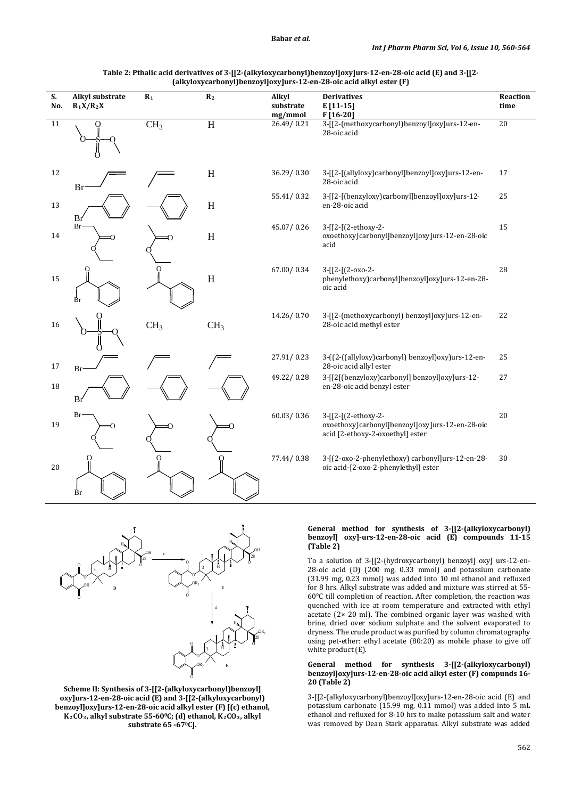| S.<br>No. | <b>Alkyl substrate</b><br>$R_1X/R_2X$ | $R_1$           | R <sub>2</sub>  | Alkyl<br>substrate<br>mg/mmol | <b>Derivatives</b><br>$E[11-15]$<br>$F[16-20]$                                                             | Reaction<br>time |
|-----------|---------------------------------------|-----------------|-----------------|-------------------------------|------------------------------------------------------------------------------------------------------------|------------------|
| 11        |                                       | CH <sub>3</sub> | $\overline{H}$  | 26.49/0.21                    | 3-[[2-(methoxycarbonyl)benzoyl]oxy]urs-12-en-<br>28-oic acid                                               | 20               |
| 12        | Br                                    |                 | $\, {\rm H}$    | 36.29/0.30                    | 3-[[2-[(allyloxy)carbonyl]benzoyl]oxy]urs-12-en-<br>28-oic acid                                            | 17               |
| 13        | Br                                    |                 | H               | 55.41/0.32                    | 3-[[2-[(benzyloxy)carbonyl]benzoyl]oxy]urs-12-<br>en-28-oic acid                                           | 25               |
| 14        | Br                                    |                 | $\mathbf H$     | 45.07/0.26                    | 3-[[2-[(2-ethoxy-2-<br>oxoethoxy)carbonyl]benzoyl]oxy]urs-12-en-28-oic<br>acid                             | 15               |
| 15        |                                       |                 | $\rm H$         | 67.00/0.34                    | 3-[[2-[(2-oxo-2-<br>phenylethoxy)carbonyl]benzoyl]oxy]urs-12-en-28-<br>oic acid                            | 28               |
| 16        |                                       | CH <sub>3</sub> | CH <sub>3</sub> | 14.26/0.70                    | 3-[[2-(methoxycarbonyl) benzoyl]oxy]urs-12-en-<br>28-oic acid methyl ester                                 | 22               |
| 17        | Br                                    |                 |                 | 27.91/0.23                    | 3-((2-((allyloxy)carbonyl) benzoyl)oxy)urs-12-en-<br>28-oic acid allyl ester                               | 25               |
| 18        | Br                                    |                 |                 | 49.22/0.28                    | 3-[[2](benzyloxy)carbonyl] benzoyl]oxy]urs-12-<br>en-28-oic acid benzyl ester                              | 27               |
| 19        | Br                                    |                 |                 | 60.03 / 0.36                  | 3-[[2-[(2-ethoxy-2-<br>oxoethoxy)carbonyl]benzoyl]oxy]urs-12-en-28-oic<br>acid [2-ethoxy-2-oxoethyl] ester | 20               |
| 20        | Br                                    |                 |                 | 77.44/0.38                    | 3-[(2-oxo-2-phenylethoxy) carbonyl]urs-12-en-28-<br>oic acid-[2-oxo-2-phenylethyl] ester                   | 30               |

**Table 2: Pthalic acid derivatives of 3-[[2-(alkyloxycarbonyl)benzoyl]oxy]urs-12-en-28-oic acid (E) and 3-[[2- (alkyloxycarbonyl)benzoyl]oxy]urs-12-en-28-oic acid alkyl ester (F)**

#### H O OH O O O OH H **D** H O OH  $_{\rm o}$ O O OR3 H H O OR4  $^{\rm o}$ O O  $OR<sub>3</sub>$ H **F** 3 28 3  $\begin{array}{ccc} \circ & \circ & \circ & \bullet & \bullet & \bullet \end{array}$ d 3 28 **E**

**Scheme II: Synthesis of 3-[[2-(alkyloxycarbonyl)benzoyl] oxy]urs-12-en-28-oic acid (E) and 3-[[2-(alkyloxycarbonyl) benzoyl]oxy]urs-12-en-28-oic acid alkyl ester (F) [(c) ethanol,**  K<sub>2</sub>CO<sub>3</sub>, alkyl substrate 55-60°C; (d) ethanol, K<sub>2</sub>CO<sub>3</sub>, alkyl **substrate 65 -670 C].**

# **General method for synthesis of 3-[[2-(alkyloxycarbonyl) benzoyl] oxy]-urs-12-en-28-oic acid (E) compounds 11-15 (Table 2)**

To a solution of 3-[[2-(hydroxycarbonyl) benzoyl] oxy] urs-12-en-28-oic acid (D) (200 mg, 0.33 mmol) and potassium carbonate (31.99 mg, 0.23 mmol) was added into 10 ml ethanol and refluxed for 8 hrs. Alkyl substrate was added and mixture was stirred at 55- 60°C till completion of reaction. After completion, the reaction was quenched with ice at room temperature and extracted with ethyl acetate (2× 20 ml). The combined organic layer was washed with brine, dried over sodium sulphate and the solvent evaporated to dryness. The crude product was purified by column chromatography using pet-ether: ethyl acetate (80:20) as mobile phase to give off white product (E).

#### **General method for synthesis 3-[[2-(alkyloxycarbonyl) benzoyl]oxy]urs-12-en-28-oic acid alkyl ester (F) compunds 16- 20 (Table 2)**

3-[[2-(alkyloxycarbonyl)benzoyl]oxy]urs-12-en-28-oic acid (E) and potassium carbonate (15.99 mg, 0.11 mmol) was added into 5 mL ethanol and refluxed for 8-10 hrs to make potassium salt and water was removed by Dean Stark apparatus. Alkyl substrate was added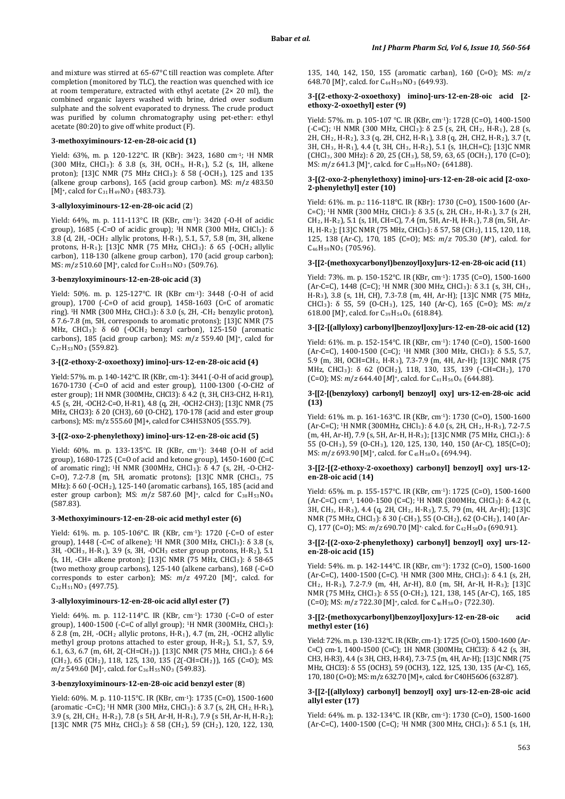and mixture was stirred at 65-67°C till reaction was complete. After completion (monitored by TLC), the reaction was quenched with ice at room temperature, extracted with ethyl acetate (2× 20 ml), the combined organic layers washed with brine, dried over sodium sulphate and the solvent evaporated to dryness. The crude product was purified by column chromatography using pet-ether: ethyl acetate (80:20) to give off white product (F).

#### **3-methoxyiminours-12-en-28-oic acid (1)**

Yield: 63%, m. p. 120-122°C. IR (KBr): 3423, 1680 cm-1; 1H NMR (300 MHz, CHCl3): δ 3.8 (s, 3H, OCH3, H-R1), 5.2 (s, 1H, alkene proton): [13]C NMR (75 MHz CHCl<sub>3</sub>):  $\delta$  58 (-OCH<sub>3</sub>), 125 and 135 (alkene group carbons), 165 (acid group carbon). MS: *m*/*z* 483.50 [M]<sup>+</sup>, calcd for  $C_{31}H_{49}NO_3$  (483.73).

#### **3-allyloxyiminours-12-en-28-oic acid** (**2**)

Yield: 64%, m. p. 111-113°C. IR (KBr, cm-1): 3420 (-O-H of acidic group), 1685 (-C=O of acidic group); 1H NMR (300 MHz, CHCl3): δ 3.8 (d, 2H, -OCH2 allylic protons, H-R1), 5.1, 5.7, 5.8 (m, 3H, alkene protons, H-R1); [13]C NMR (75 MHz, CHCl3): δ 65 (-OCH2 allylic carbon), 118-130 (alkene group carbon), 170 (acid group carbon); MS: *m*/*z* 510.60 [M]<sup>+</sup>, calcd for C<sub>33</sub>H<sub>51</sub>NO<sub>3</sub> (509.76).

### **3-benzyloxyiminours-12-en-28-oic acid** (**3)**

Yield: 50%. m. p. 125-127°C. IR (KBr cm-1): 3448 (-O-H of acid group), 1700 (-C=O of acid group), 1458-1603 (C=C of aromatic ring). <sup>1</sup>H NMR (300 MHz, CHCl<sub>3</sub>):  $\delta$  3.0 (s, 2H, -CH<sub>2</sub> benzylic proton), δ 7.6-7.8 (m, 5H, corresponds to aromatic protons); [13]C NMR (75 MHz, CHCl<sub>3</sub>): δ 60 (-OCH<sub>2</sub> benzyl carbon), 125-150 (aromatic carbons), 185 (acid group carbon); MS: *m*/*z* 559.40 [M]+, calcd for C37H53NO3 (559.82).

# **3-[(2-ethoxy-2-oxoethoxy) imino]-urs-12-en-28-oic acid (4)**

Yield: 57%. m. p. 140-142°C. IR (KBr, cm-1): 3441 (-O-H of acid group), 1670-1730 (-C=O of acid and ester group), 1100-1300 (-O-CH2 of ester group); 1H NMR (300MHz, CHCl3): δ 4.2 (t, 3H, CH3-CH2, H-R1), 4.5 (s, 2H, -OCH2-C=O, H-R1), 4.8 (q, 2H, -OCH2-CH3); [13]C NMR (75 MHz, CHCl3): δ 20 (CH3), 60 (O-CH2), 170-178 (acid and ester group carbons); MS: m/z 555.60 [M]+, calcd for C34H53NO5 (555.79).

#### **3-[(2-oxo-2-phenylethoxy) imino]-urs-12-en-28-oic acid (5)**

Yield: 60%. m. p. 133-135°C. IR (KBr, cm<sup>-1</sup>): 3448 (O-H of acid group), 1680-1725 (C=O of acid and ketone group), 1450-1600 (C=C of aromatic ring); 1H NMR (300MHz, CHCl3): δ 4.7 (s, 2H, -O-CH2- C=O), 7.2-7.8 (m, 5H, aromatic protons); [13]C NMR (CHCl3, 75 MHz): δ 60 (-OCH2), 125-140 (aromatic carbans), 165, 185 (acid and ester group carbon); MS:  $m/z$  587.60 [M]<sup>+</sup>, calcd for C<sub>38</sub>H<sub>53</sub>NO<sub>4</sub> (587.83).

# **3-Methoxyiminours-12-en-28-oic acid methyl ester (6)**

Yield: 61%. m. p. 105-106°C. IR (KBr, cm-1): 1720 (-C=O of ester group), 1448 (-C=C of alkene); 1H NMR (300 MHz, CHCl3): δ 3.8 (s, 3H, -OCH3, H-R1), 3.9 (s, 3H, -OCH3 ester group protons, H-R2), 5.1 (s, 1H, -CH= alkene proton); [13]C NMR (75 MHz, CHCl3): δ 58-65 (two methoxy group carbons), 125-140 (alkene carbans), 168 (-C=O corresponds to ester carbon); MS: *m*/*z* 497.20 [M]+, calcd. for C32H51NO3 (497.75).

# **3-allyloxyiminours-12-en-28-oic acid allyl ester (7)**

Yield: 64%. m. p. 112-114°C. IR (KBr, cm-1): 1730 (-C=O of ester group), 1400-1500 (-C=C of allyl group); 1H NMR (300MHz, CHCl3): δ 2.8 (m, 2H, -OCH2 allylic protons, H-R1), 4.7 (m, 2H, -OCH2 allylic methyl group protons attached to ester group, H-R2), 5.1, 5.7, 5.9, 6.1, 6.3, 6.7 (m, 6H, 2(-CH=CH2)). [13]C NMR (75 MHz, CHCl3): δ 64 (CH2), 65 (CH2), 118, 125, 130, 135 (2(-CH=CH2)), 165 (C=O); MS: *m*/*z* 549.60 [M]<sup>+</sup>, calcd. for C<sub>36</sub>H<sub>55</sub>NO<sub>3</sub> (549.83).

#### **3-benzyloxyiminours-12-en-28-oic acid benzyl ester** (**8**)

Yield: 60%. M. p. 110-115°C. IR (KBr, cm-1): 1735 (C=O), 1500-1600 (aromatic -C=C); <sup>1</sup>H NMR (300 MHz, CHCl<sub>3</sub>):  $\delta$  3.7 (s, 2H, CH<sub>2</sub>, H-R<sub>1</sub>), 3.9 (s, 2H, CH2, H-R2), 7.8 (s 5H, Ar-H, H-R1), 7.9 (s 5H, Ar-H, H-R2); [13]C NMR (75 MHz, CHCl3): δ 58 (CH2), 59 (CH2), 120, 122, 130, 135, 140, 142, 150, 155 (aromatic carban), 160 (C=O); MS: *m*/*z* 648.70 [M]<sup>+</sup>, calcd. for  $C_{44}H_{59}NO_3$  (649.93).

### **3-[(2-ethoxy-2-oxoethoxy) imino]-urs-12-en-28-oic acid [2 ethoxy-2-oxoethyl] ester (9)**

Yield: 57%. m. p. 105-107 °C. IR (KBr, cm-1): 1728 (C=0), 1400-1500 (-C=C); 1H NMR (300 MHz, CHCl3): δ 2.5 (s, 2H, CH2, H-R1), 2.8 (s, 2H, CH2, H-R2), 3.3 (q, 2H, CH2, H-R1), 3.8 (q, 2H, CH2, H-R2), 3.7 (t, 3H, CH3, H-R1), 4.4 (t, 3H, CH3, H-R2), 5.1 (s, 1H,CH=C); [13]C NMR (CHCl3, 300 MHz): δ 20, 25 (CH3), 58, 59, 63, 65 (OCH2), 170 (C=O); MS: *m*/*z* 641.3 [M]<sup>+</sup>, calcd. for C<sub>38</sub>H<sub>59</sub>NO<sub>7</sub> (641.88).

#### **3-[(2-oxo-2-phenylethoxy) imino]-urs-12-en-28-oic acid [2-oxo-2-phenylethyl] ester (10)**

Yield: 61%. m. p.: 116-118°C. IR (KBr): 1730 (C=O), 1500-1600 (Ar-C=C); 1H NMR (300 MHz, CHCl3): δ 3.5 (s, 2H, CH2, H-R1), 3.7 (s 2H, CH2, H-R2), 5.1 (s, 1H, CH=C), 7.4 (m, 5H, Ar-H, H-R1), 7.8 (m, 5H, Ar-H, H-R2); [13]C NMR (75 MHz, CHCl3): δ 57, 58 (CH2), 115, 120, 118, 125, 138 (Ar-C), 170, 185 (C=O); MS: *m*/*z* 705.30 (*M*+), calcd. for C46H59NO5 (705.96).

# **3-[[2-(methoxycarbonyl)benzoyl]oxy]urs-12-en-28-oic acid (11**)

Yield: 73%. m. p. 150-152°C. IR (KBr, cm-1): 1735 (C=O), 1500-1600 (Ar-C=C), 1448 (C=C); 1H NMR (300 MHz, CHCl3): δ 3.1 (s, 3H, CH3, H-R3), 3.8 (s, 1H, CH), 7.3-7.8 (m, 4H, Ar-H); [13]C NMR (75 MHz, CHCl3): δ 55, 59 (O-CH3), 125, 140 (Ar-C), 165 (C=O); MS: *m*/*z* 618.00 [M]<sup>+</sup>, calcd. for  $C_{39}H_{54}O_6$  (618.84).

# **3-[[2-[(allyloxy) carbonyl]benzoyl]oxy]urs-12-en-28-oic acid (12)**

Yield: 61%. m. p. 152-154°C. IR (KBr, cm<sup>-1</sup>): 1740 (C=0), 1500-1600 (Ar-C=C), 1400-1500 (C=C); 1H NMR (300 MHz, CHCl3): δ 5.5, 5.7, 5.9 (m, 3H, OCH=CH2, H-R3), 7.3-7.9 (m, 4H, Ar-H); [13]C NMR (75 MHz, CHCl3): δ 62 (OCH2), 118, 130, 135, 139 (-CH=CH2), 170 (C=O); MS:  $m/z$  644.40 [*M*]<sup>+</sup>, calcd. for C<sub>41</sub>H<sub>56</sub>O<sub>6</sub> (644.88).

#### **3-[[2-[(benzyloxy) carbonyl] benzoyl] oxy] urs-12-en-28-oic acid (13)**

Yield: 61%. m. p. 161-163°C. IR (KBr, cm-1): 1730 (C=O), 1500-1600 (Ar-C=C); 1H NMR (300MHz, CHCl3): δ 4.0 (s, 2H, CH2, H-R3), 7.2-7.5  $(m, 4H, Ar-H)$ , 7.9 (s, 5H, Ar-H, H-R<sub>3</sub>); [13]C NMR (75 MHz, CHCl<sub>3</sub>): δ 55 (O-CH3), 59 (O-CH3), 120, 125, 130, 140, 150 (Ar-C), 185(C=O); MS: *m*/*z* 693.90 [M]<sup>+</sup>, calcd. for C<sub>45</sub>H<sub>58</sub>O<sub>6</sub> (694.94).

#### **3-[[2-[(2-ethoxy-2-oxoethoxy) carbonyl] benzoyl] oxy] urs-12 en-28-oic acid** (**14)**

Yield: 65%. m. p. 155-157°C. IR (KBr, cm-1): 1725 (C=O), 1500-1600 (Ar-C=C) cm-1, 1400-1500 (C=C); 1H NMR (300MHz, CHCl3): δ 4.2 (t, 3H, CH3, H-R3), 4.4 (q, 2H, CH2, H-R3), 7.5, 79 (m, 4H, Ar-H); [13]C NMR (75 MHz, CHCl3): δ 30 (-CH3), 55 (O-CH2), 62 (O-CH2), 140 (Ar-C), 177 (C=O); MS:  $m/z$  690.70 [M]<sup>+,</sup> calcd. for C<sub>42</sub>H<sub>58</sub>O<sub>8</sub> (690.91).

#### **3-[[2-[(2-oxo-2-phenylethoxy) carbonyl] benzoyl] oxy] urs-12 en-28-oic acid (15)**

Yield: 54%. m. p. 142-144°C. IR (KBr, cm-1): 1732 (C=O), 1500-1600 (Ar-C=C), 1400-1500 (C=C). 1H NMR (300 MHz, CHCl3): δ 4.1 (s, 2H, CH2, H-R3), 7.2-7.9 (m, 4H, Ar-H), 8.0 (m, 5H, Ar-H, H-R3); [13]C NMR (75 MHz, CHCl3): δ 55 (O-CH2), 121, 138, 145 (Ar-C), 165, 185 (C=O); MS:  $m/z$  722.30 [M]<sup>+</sup>, calcd. for C<sub>46</sub>H<sub>58</sub>O<sub>7</sub> (722.30).

#### **3-[[2-(methoxycarbonyl)benzoyl]oxy]urs-12-en-28-oic acid methyl ester (16)**

Yield: 72%. m. p. 130-132°C. IR (KBr, cm-1): 1725 (C=O), 1500-1600 (Ar-C=C) cm-1, 1400-1500 (C=C); 1H NMR (300MHz, CHCl3): δ 4.2 (s, 3H, CH3, H-R3), 4.4 (s 3H, CH3, H-R4), 7.3-7.5 (m, 4H, Ar-H); [13]C NMR (75 MHz, CHCl3): δ 55 (OCH3), 59 (OCH3), 122, 125, 130, 135 (Ar-C), 165, 170, 180 (C=O); MS: m/z 632.70 [M]+, calcd. for C40H56O6 (632.87).

### **3-[[2-[(allyloxy) carbonyl] benzoyl] oxy] urs-12-en-28-oic acid allyl ester (17)**

Yield: 64%. m. p. 132-134°C. IR (KBr, cm-1): 1730 (C=O), 1500-1600 (Ar-C=C), 1400-1500 (C=C); 1H NMR (300 MHz, CHCl3): δ 5.1 (s, 1H,